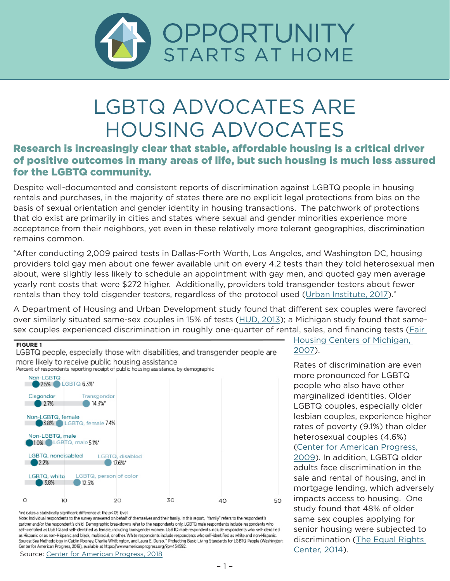

## LGBTQ ADVOCATES ARE HOUSING ADVOCATES

## Research is increasingly clear that stable, affordable housing is a critical driver of positive outcomes in many areas of life, but such housing is much less assured for the LGBTQ community.

Despite well-documented and consistent reports of discrimination against LGBTQ people in housing rentals and purchases, in the majority of states there are no explicit legal protections from bias on the basis of sexual orientation and gender identity in housing transactions. The patchwork of protections that do exist are primarily in cities and states where sexual and gender minorities experience more acceptance from their neighbors, yet even in these relatively more tolerant geographies, discrimination remains common.

"After conducting 2,009 paired tests in Dallas-Forth Worth, Los Angeles, and Washington DC, housing providers told gay men about one fewer available unit on every 4.2 tests than they told heterosexual men about, were slightly less likely to schedule an appointment with gay men, and quoted gay men average yearly rent costs that were \$272 higher. Additionally, providers told transgender testers about fewer rentals than they told cisgender testers, regardless of the protocol used ([Urban Institute, 2017](https://www.urban.org/research/publication/paired-testing-pilot-study-housing-discrimination-against-same-sex-couples-and-transgender-individuals))."

A Department of Housing and Urban Development study found that different sex couples were favored over similarly situated same-sex couples in 15% of tests [\(HUD, 2013](https://www.huduser.gov/portal/Publications/pdf/Hsg_Disc_against_SameSexCpls_v3.pdf)); a Michigan study found that samesex couples experienced discrimination in roughly one-quarter of rental, sales, and financing tests (*Fair* 



\*indicates a statistically significant difference at the p<.05 level

Note: Individual respondents to the survey answered on behalf of themselves and their family. In this report, "family" refers to the respondent's partner and/or the respondent's child. Demographic breakdowns refer to the respondents only. LGBTQ male respondents include respondents who self-identified as LGBTQ and self-identified as female, including transgender women. LGBTQ male respondents include respondents who self-identified as Hispanic or as non-Hispanic and black, multiracial, or other. White respondents include respondents who self-identified as white and non-Hispanic. Source: See Methodology in Caitlin Rooney, Charlie Whittington, and Laura E. Durso, " Protecting Basic Living Standards for LGBTQ People (Washington: [Center for American Progress, 2018](https://www.americanprogress.org/issues/lgbt/reports/2018/08/13/454592/protecting-basic-living-standards-lgbtq-people/)), available at https://www.americanprogress.org/?p=454592.<br>Source: Center for American Progress, 2018

[Housing Centers of Michigan,](http://www.fhcmichigan.org/images/Arcus_web1.pdf)  [2007](http://www.fhcmichigan.org/images/Arcus_web1.pdf)).

Rates of discrimination are even more pronounced for LGBTQ people who also have other marginalized identities. Older LGBTQ couples, especially older lesbian couples, experience higher rates of poverty (9.1%) than older heterosexual couples (4.6%) [\(Center for American Progress,](https://cdn.americanprogress.org/wp-content/uploads/issues/2009/07/pdf/lgbt_poverty.pdf)  [2009](https://cdn.americanprogress.org/wp-content/uploads/issues/2009/07/pdf/lgbt_poverty.pdf)). In addition, LGBTQ older adults face discrimination in the sale and rental of housing, and in mortgage lending, which adversely impacts access to housing. One study found that 48% of older same sex couples applying for senior housing were subjected to discrimination ([The Equal Rights](https://equalrightscenter.org/wp-content/uploads/senior_housing_report.pdf)